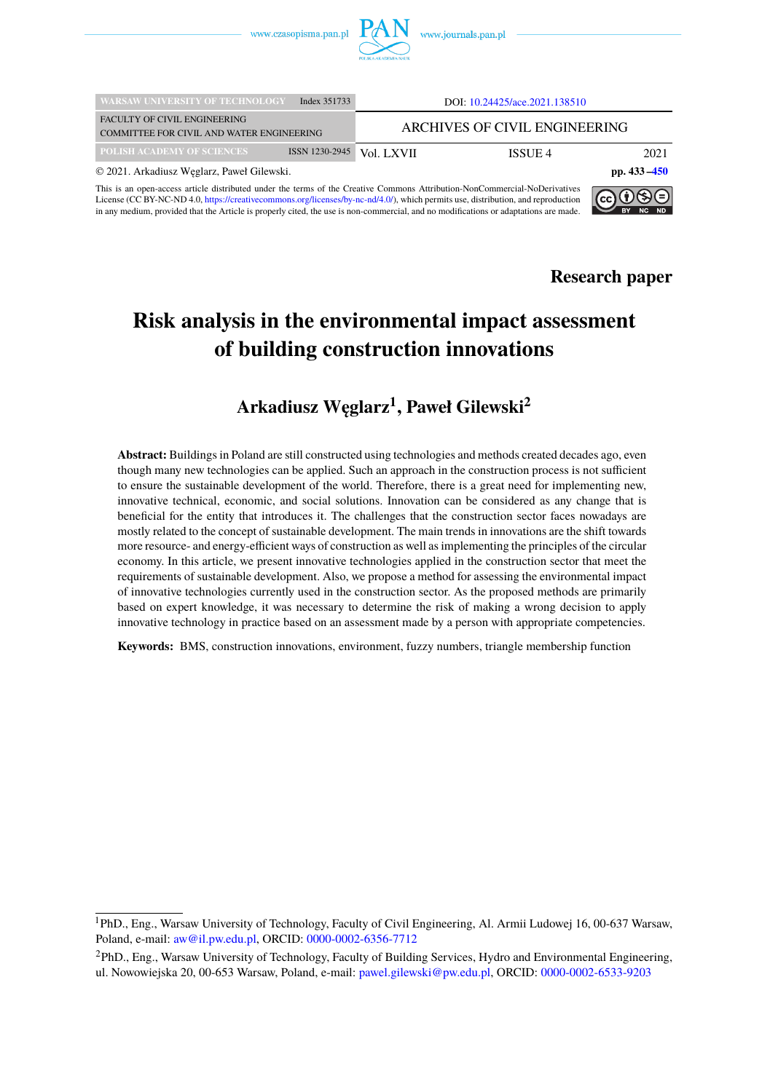

| <b>WARSAW UNIVERSITY OF TECHNOLOGY</b>                                                                                                                                                                                                                                  | Index 351733   |            | DOI: 10.24425/ace.2021.138510 |                 |  |  |  |  |
|-------------------------------------------------------------------------------------------------------------------------------------------------------------------------------------------------------------------------------------------------------------------------|----------------|------------|-------------------------------|-----------------|--|--|--|--|
| <b>FACULTY OF CIVIL ENGINEERING</b><br>COMMITTEE FOR CIVIL AND WATER ENGINEERING                                                                                                                                                                                        |                |            | ARCHIVES OF CIVIL ENGINEERING |                 |  |  |  |  |
| <b>POLISH ACADEMY OF SCIENCES</b>                                                                                                                                                                                                                                       | ISSN 1230-2945 | Vol. LXVII | ISSUE 4                       | 2021            |  |  |  |  |
| © 2021. Arkadiusz Węglarz, Paweł Gilewski.                                                                                                                                                                                                                              |                |            |                               | pp. $433 - 450$ |  |  |  |  |
| This is an open-access article distributed under the terms of the Creative Commons Attribution-NonCommercial-NoDerivatives<br> @009<br>License (CC BY-NC-ND 4.0, https://creativecommons.org/licenses/by-nc-nd/4.0/), which permits use, distribution, and reproduction |                |            |                               |                 |  |  |  |  |

This is an open-access article distributed under the terms of the Creative Commons Attribution-NonCommercial-NoDerivatives<br>License (CC BY-NC-ND 4.0, [https://creativecommons.org/licenses/by-nc-nd/4.0/\)](https://creativecommons.org/licenses/by-nc-nd/4.0/), which permits use, d in any medium, provided that the Article is properly cited, the use is non-commercial, and no modifications or adaptations are made.



 $BY$  NC

# **Risk analysis in the environmental impact assessment of building construction innovations**

## **Arkadiusz W ˛eglarz<sup>1</sup> , Paweł Gilewski<sup>2</sup>**

**Abstract:** Buildings in Poland are still constructed using technologies and methods created decades ago, even though many new technologies can be applied. Such an approach in the construction process is not sufficient to ensure the sustainable development of the world. Therefore, there is a great need for implementing new, innovative technical, economic, and social solutions. Innovation can be considered as any change that is beneficial for the entity that introduces it. The challenges that the construction sector faces nowadays are mostly related to the concept of sustainable development. The main trends in innovations are the shift towards more resource- and energy-efficient ways of construction as well as implementing the principles of the circular economy. In this article, we present innovative technologies applied in the construction sector that meet the requirements of sustainable development. Also, we propose a method for assessing the environmental impact of innovative technologies currently used in the construction sector. As the proposed methods are primarily based on expert knowledge, it was necessary to determine the risk of making a wrong decision to apply innovative technology in practice based on an assessment made by a person with appropriate competencies.

**Keywords:** BMS, construction innovations, environment, fuzzy numbers, triangle membership function

<sup>1</sup>PhD., Eng., Warsaw University of Technology, Faculty of Civil Engineering, Al. Armii Ludowej 16, 00-637 Warsaw, Poland, e-mail: [aw@il.pw.edu.pl,](mailto:aw@il.pw.edu.pl) ORCID: [0000-0002-6356-7712](https://orcid.org/0000-0002-6356-7712)

<sup>2</sup>PhD., Eng., Warsaw University of Technology, Faculty of Building Services, Hydro and Environmental Engineering, ul. Nowowiejska 20, 00-653 Warsaw, Poland, e-mail: [pawel.gilewski@pw.edu.pl,](mailto:pawel.gilewski@pw.edu.pl) ORCID: [0000-0002-6533-9203](https://orcid.org/0000-0002-6533-9203)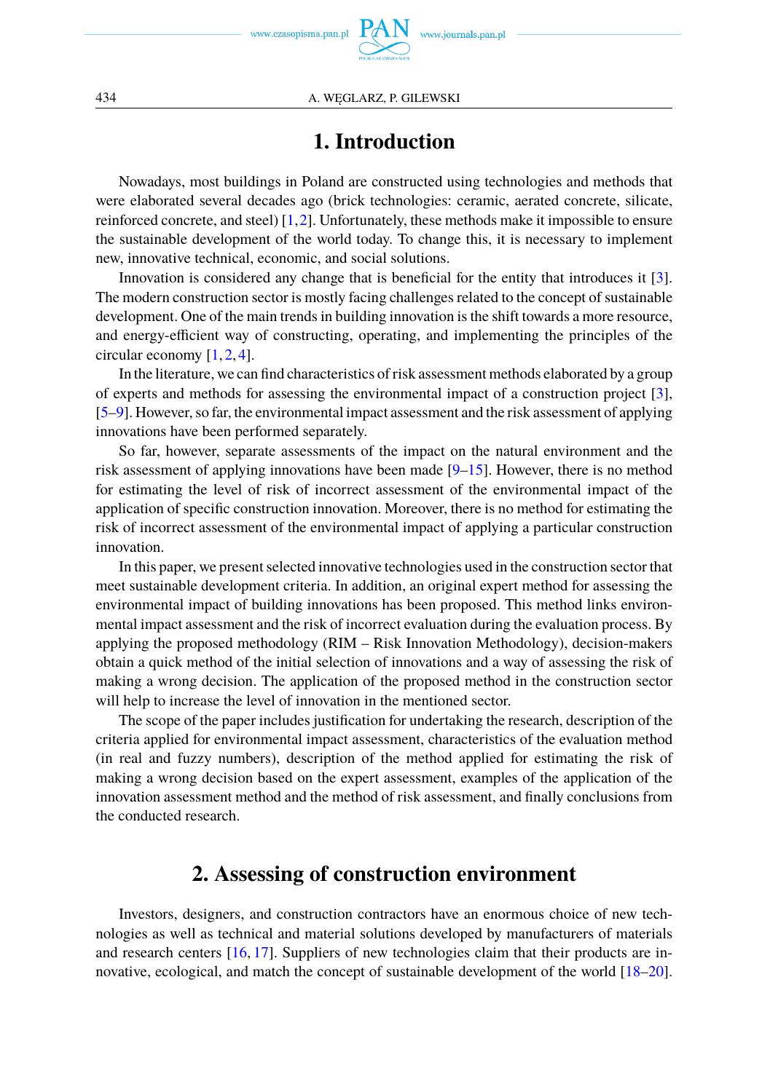# **1. Introduction**

Nowadays, most buildings in Poland are constructed using technologies and methods that were elaborated several decades ago (brick technologies: ceramic, aerated concrete, silicate, reinforced concrete, and steel) [\[1,](#page-14-0)[2\]](#page-14-1). Unfortunately, these methods make it impossible to ensure the sustainable development of the world today. To change this, it is necessary to implement new, innovative technical, economic, and social solutions.

Innovation is considered any change that is beneficial for the entity that introduces it [\[3\]](#page-14-2). The modern construction sector is mostly facing challenges related to the concept of sustainable development. One of the main trends in building innovation is the shift towards a more resource, and energy-efficient way of constructing, operating, and implementing the principles of the circular economy [\[1,](#page-14-0) [2,](#page-14-1) [4\]](#page-14-3).

In the literature, we can find characteristics of risk assessment methods elaborated by a group of experts and methods for assessing the environmental impact of a construction project [\[3\]](#page-14-2), [\[5](#page-14-4)[–9\]](#page-15-0). However, so far, the environmental impact assessment and the risk assessment of applying innovations have been performed separately.

So far, however, separate assessments of the impact on the natural environment and the risk assessment of applying innovations have been made [\[9](#page-15-0)[–15\]](#page-15-1). However, there is no method for estimating the level of risk of incorrect assessment of the environmental impact of the application of specific construction innovation. Moreover, there is no method for estimating the risk of incorrect assessment of the environmental impact of applying a particular construction innovation.

In this paper, we present selected innovative technologies used in the construction sector that meet sustainable development criteria. In addition, an original expert method for assessing the environmental impact of building innovations has been proposed. This method links environmental impact assessment and the risk of incorrect evaluation during the evaluation process. By applying the proposed methodology (RIM – Risk Innovation Methodology), decision-makers obtain a quick method of the initial selection of innovations and a way of assessing the risk of making a wrong decision. The application of the proposed method in the construction sector will help to increase the level of innovation in the mentioned sector.

The scope of the paper includes justification for undertaking the research, description of the criteria applied for environmental impact assessment, characteristics of the evaluation method (in real and fuzzy numbers), description of the method applied for estimating the risk of making a wrong decision based on the expert assessment, examples of the application of the innovation assessment method and the method of risk assessment, and finally conclusions from the conducted research.

## **2. Assessing of construction environment**

Investors, designers, and construction contractors have an enormous choice of new technologies as well as technical and material solutions developed by manufacturers of materials and research centers [\[16,](#page-15-2) [17\]](#page-15-3). Suppliers of new technologies claim that their products are in-novative, ecological, and match the concept of sustainable development of the world [\[18](#page-15-4)[–20\]](#page-15-5).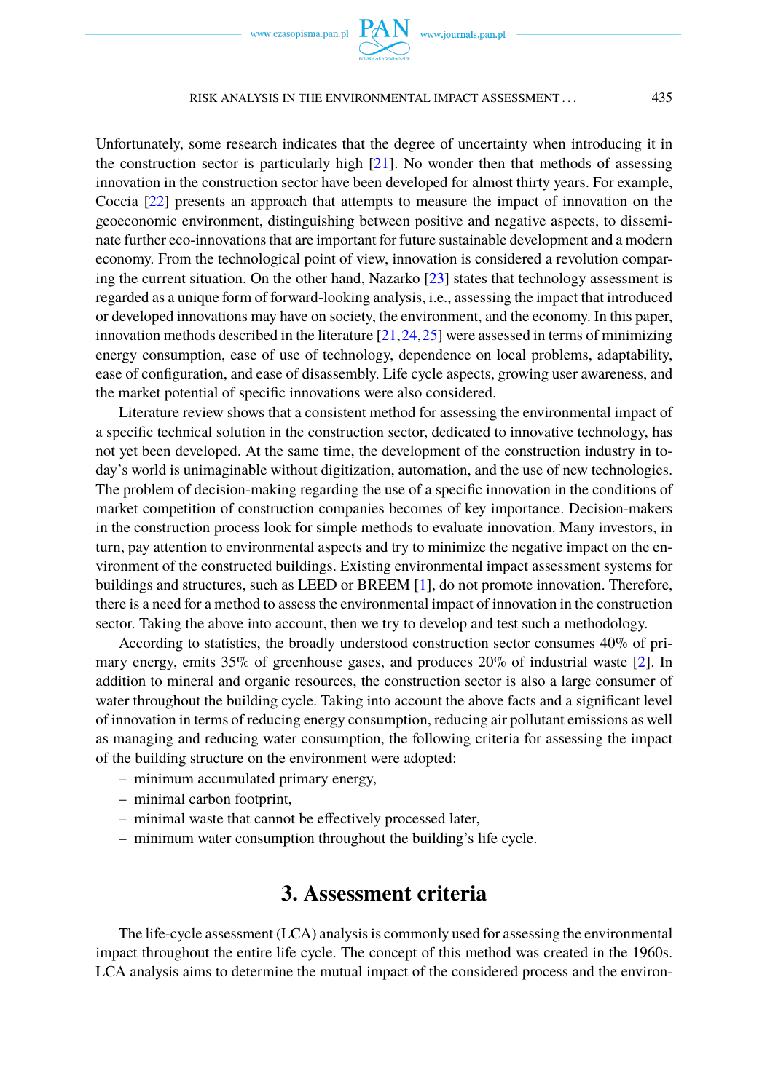Unfortunately, some research indicates that the degree of uncertainty when introducing it in the construction sector is particularly high  $[21]$ . No wonder then that methods of assessing innovation in the construction sector have been developed for almost thirty years. For example, Coccia [\[22\]](#page-15-7) presents an approach that attempts to measure the impact of innovation on the geoeconomic environment, distinguishing between positive and negative aspects, to disseminate further eco-innovations that are important for future sustainable development and a modern economy. From the technological point of view, innovation is considered a revolution compar-ing the current situation. On the other hand, Nazarko [\[23\]](#page-15-8) states that technology assessment is regarded as a unique form of forward-looking analysis, i.e., assessing the impact that introduced or developed innovations may have on society, the environment, and the economy. In this paper, innovation methods described in the literature  $[21,24,25]$  $[21,24,25]$  $[21,24,25]$  were assessed in terms of minimizing energy consumption, ease of use of technology, dependence on local problems, adaptability, ease of configuration, and ease of disassembly. Life cycle aspects, growing user awareness, and the market potential of specific innovations were also considered.

Literature review shows that a consistent method for assessing the environmental impact of a specific technical solution in the construction sector, dedicated to innovative technology, has not yet been developed. At the same time, the development of the construction industry in today's world is unimaginable without digitization, automation, and the use of new technologies. The problem of decision-making regarding the use of a specific innovation in the conditions of market competition of construction companies becomes of key importance. Decision-makers in the construction process look for simple methods to evaluate innovation. Many investors, in turn, pay attention to environmental aspects and try to minimize the negative impact on the environment of the constructed buildings. Existing environmental impact assessment systems for buildings and structures, such as LEED or BREEM [\[1\]](#page-14-0), do not promote innovation. Therefore, there is a need for a method to assess the environmental impact of innovation in the construction sector. Taking the above into account, then we try to develop and test such a methodology.

According to statistics, the broadly understood construction sector consumes 40% of primary energy, emits 35% of greenhouse gases, and produces 20% of industrial waste [\[2\]](#page-14-1). In addition to mineral and organic resources, the construction sector is also a large consumer of water throughout the building cycle. Taking into account the above facts and a significant level of innovation in terms of reducing energy consumption, reducing air pollutant emissions as well as managing and reducing water consumption, the following criteria for assessing the impact of the building structure on the environment were adopted:

- minimum accumulated primary energy,
- minimal carbon footprint,
- minimal waste that cannot be effectively processed later,
- minimum water consumption throughout the building's life cycle.

## **3. Assessment criteria**

The life-cycle assessment (LCA) analysis is commonly used for assessing the environmental impact throughout the entire life cycle. The concept of this method was created in the 1960s. LCA analysis aims to determine the mutual impact of the considered process and the environ-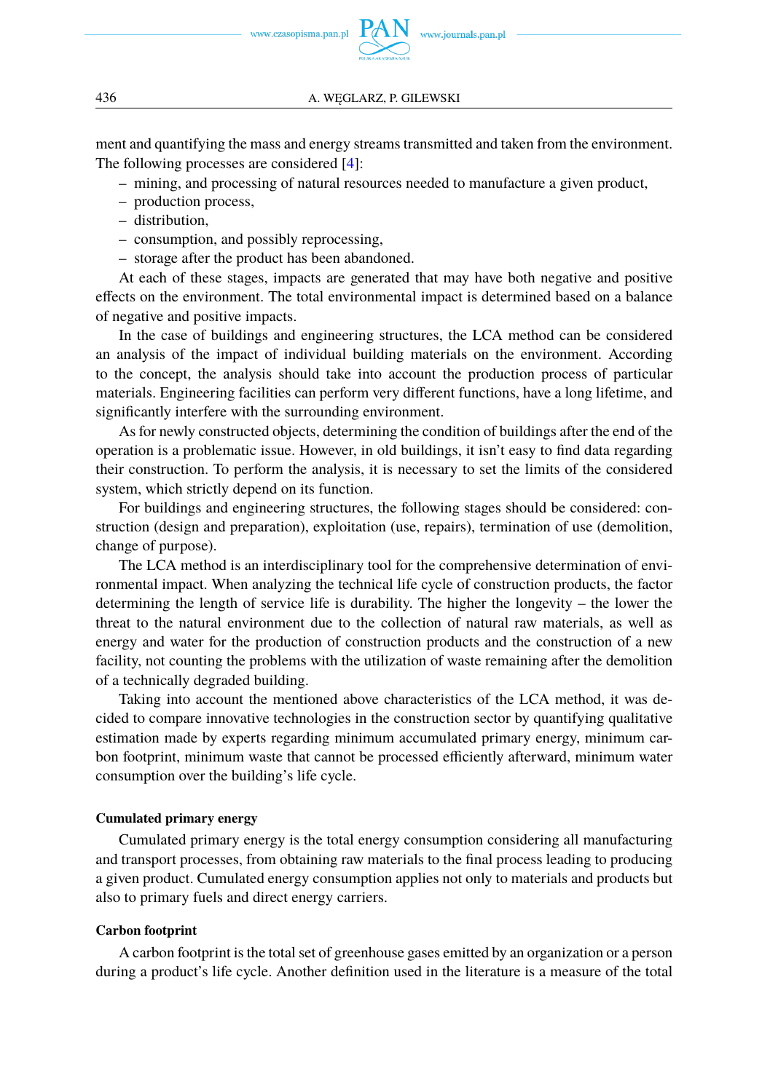

www.journals.pan.pl

ment and quantifying the mass and energy streams transmitted and taken from the environment. The following processes are considered [\[4\]](#page-14-3):

- mining, and processing of natural resources needed to manufacture a given product,
- production process,
- distribution,
- consumption, and possibly reprocessing,
- storage after the product has been abandoned.

At each of these stages, impacts are generated that may have both negative and positive effects on the environment. The total environmental impact is determined based on a balance of negative and positive impacts.

In the case of buildings and engineering structures, the LCA method can be considered an analysis of the impact of individual building materials on the environment. According to the concept, the analysis should take into account the production process of particular materials. Engineering facilities can perform very different functions, have a long lifetime, and significantly interfere with the surrounding environment.

As for newly constructed objects, determining the condition of buildings after the end of the operation is a problematic issue. However, in old buildings, it isn't easy to find data regarding their construction. To perform the analysis, it is necessary to set the limits of the considered system, which strictly depend on its function.

For buildings and engineering structures, the following stages should be considered: construction (design and preparation), exploitation (use, repairs), termination of use (demolition, change of purpose).

The LCA method is an interdisciplinary tool for the comprehensive determination of environmental impact. When analyzing the technical life cycle of construction products, the factor determining the length of service life is durability. The higher the longevity – the lower the threat to the natural environment due to the collection of natural raw materials, as well as energy and water for the production of construction products and the construction of a new facility, not counting the problems with the utilization of waste remaining after the demolition of a technically degraded building.

Taking into account the mentioned above characteristics of the LCA method, it was decided to compare innovative technologies in the construction sector by quantifying qualitative estimation made by experts regarding minimum accumulated primary energy, minimum carbon footprint, minimum waste that cannot be processed efficiently afterward, minimum water consumption over the building's life cycle.

#### **Cumulated primary energy**

Cumulated primary energy is the total energy consumption considering all manufacturing and transport processes, from obtaining raw materials to the final process leading to producing a given product. Cumulated energy consumption applies not only to materials and products but also to primary fuels and direct energy carriers.

#### **Carbon footprint**

A carbon footprint is the total set of greenhouse gases emitted by an organization or a person during a product's life cycle. Another definition used in the literature is a measure of the total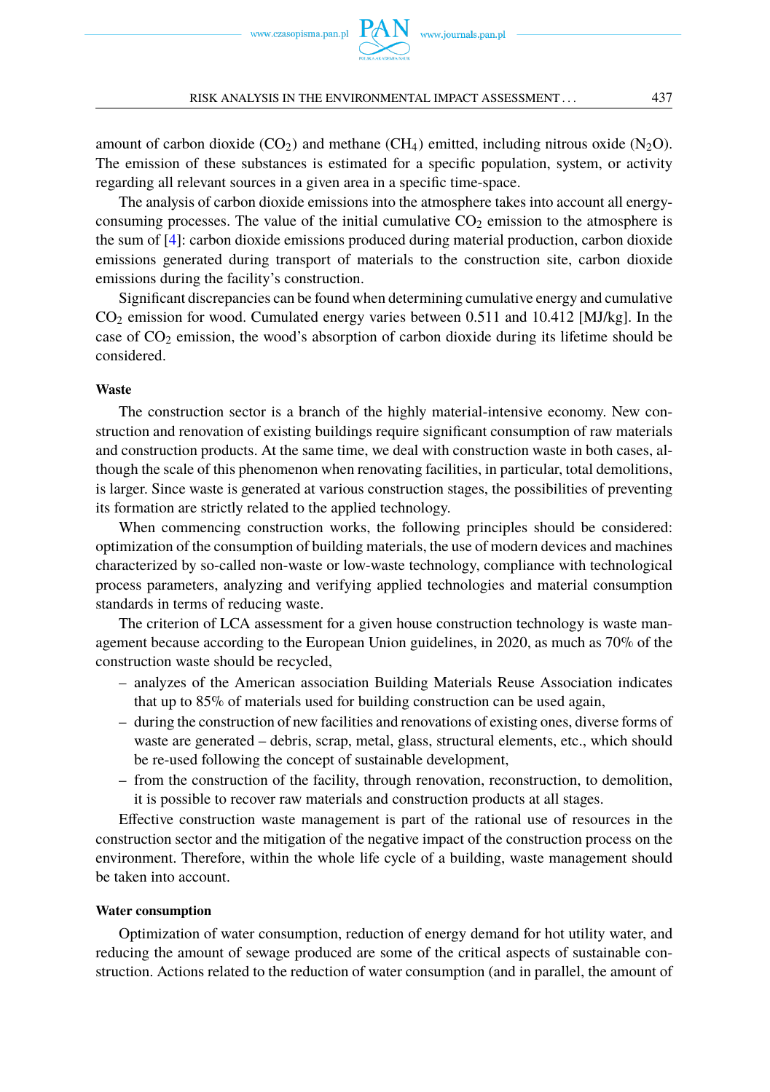amount of carbon dioxide (CO<sub>2</sub>) and methane (CH<sub>4</sub>) emitted, including nitrous oxide (N<sub>2</sub>O). The emission of these substances is estimated for a specific population, system, or activity regarding all relevant sources in a given area in a specific time-space.

The analysis of carbon dioxide emissions into the atmosphere takes into account all energyconsuming processes. The value of the initial cumulative  $CO<sub>2</sub>$  emission to the atmosphere is the sum of [\[4\]](#page-14-3): carbon dioxide emissions produced during material production, carbon dioxide emissions generated during transport of materials to the construction site, carbon dioxide emissions during the facility's construction.

Significant discrepancies can be found when determining cumulative energy and cumulative CO<sup>2</sup> emission for wood. Cumulated energy varies between 0.511 and 10.412 [MJ/kg]. In the case of  $CO<sub>2</sub>$  emission, the wood's absorption of carbon dioxide during its lifetime should be considered.

#### **Waste**

The construction sector is a branch of the highly material-intensive economy. New construction and renovation of existing buildings require significant consumption of raw materials and construction products. At the same time, we deal with construction waste in both cases, although the scale of this phenomenon when renovating facilities, in particular, total demolitions, is larger. Since waste is generated at various construction stages, the possibilities of preventing its formation are strictly related to the applied technology.

When commencing construction works, the following principles should be considered: optimization of the consumption of building materials, the use of modern devices and machines characterized by so-called non-waste or low-waste technology, compliance with technological process parameters, analyzing and verifying applied technologies and material consumption standards in terms of reducing waste.

The criterion of LCA assessment for a given house construction technology is waste management because according to the European Union guidelines, in 2020, as much as 70% of the construction waste should be recycled,

- analyzes of the American association Building Materials Reuse Association indicates that up to 85% of materials used for building construction can be used again,
- during the construction of new facilities and renovations of existing ones, diverse forms of waste are generated – debris, scrap, metal, glass, structural elements, etc., which should be re-used following the concept of sustainable development,
- from the construction of the facility, through renovation, reconstruction, to demolition, it is possible to recover raw materials and construction products at all stages.

Effective construction waste management is part of the rational use of resources in the construction sector and the mitigation of the negative impact of the construction process on the environment. Therefore, within the whole life cycle of a building, waste management should be taken into account.

#### **Water consumption**

Optimization of water consumption, reduction of energy demand for hot utility water, and reducing the amount of sewage produced are some of the critical aspects of sustainable construction. Actions related to the reduction of water consumption (and in parallel, the amount of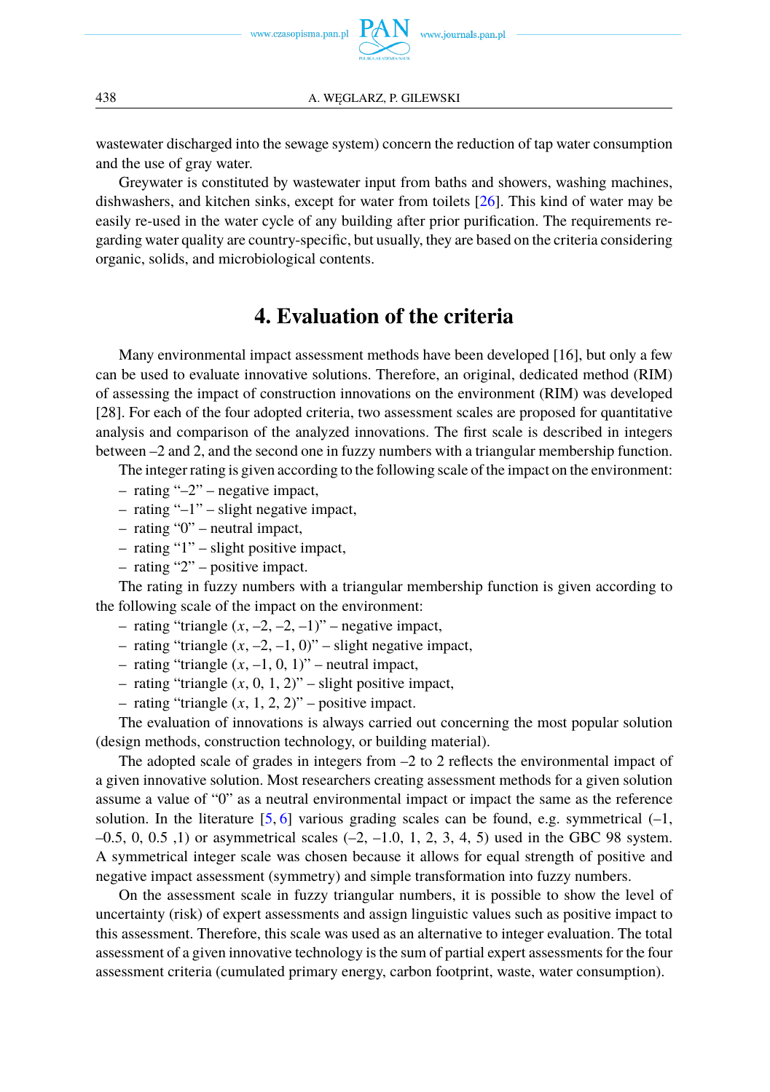

wastewater discharged into the sewage system) concern the reduction of tap water consumption and the use of gray water.

Greywater is constituted by wastewater input from baths and showers, washing machines, dishwashers, and kitchen sinks, except for water from toilets  $[26]$ . This kind of water may be easily re-used in the water cycle of any building after prior purification. The requirements regarding water quality are country-specific, but usually, they are based on the criteria considering organic, solids, and microbiological contents.

## **4. Evaluation of the criteria**

Many environmental impact assessment methods have been developed [16], but only a few can be used to evaluate innovative solutions. Therefore, an original, dedicated method (RIM) of assessing the impact of construction innovations on the environment (RIM) was developed [28]. For each of the four adopted criteria, two assessment scales are proposed for quantitative analysis and comparison of the analyzed innovations. The first scale is described in integers between –2 and 2, and the second one in fuzzy numbers with a triangular membership function.

The integer rating is given according to the following scale of the impact on the environment:

- rating " $-2$ " negative impact,
- rating "–1" slight negative impact,
- rating "0" neutral impact,
- rating "1" slight positive impact,
- rating "2" positive impact.

The rating in fuzzy numbers with a triangular membership function is given according to the following scale of the impact on the environment:

- rating "triangle  $(x, -2, -2, -1)$ " negative impact,
- rating "triangle  $(x, -2, -1, 0)$ " slight negative impact,
- rating "triangle  $(x, -1, 0, 1)$ " neutral impact,
- rating "triangle  $(x, 0, 1, 2)$ " slight positive impact,
- rating "triangle  $(x, 1, 2, 2)$ " positive impact.

The evaluation of innovations is always carried out concerning the most popular solution (design methods, construction technology, or building material).

The adopted scale of grades in integers from –2 to 2 reflects the environmental impact of a given innovative solution. Most researchers creating assessment methods for a given solution assume a value of "0" as a neutral environmental impact or impact the same as the reference solution. In the literature  $[5, 6]$  $[5, 6]$  $[5, 6]$  various grading scales can be found, e.g. symmetrical  $(-1, 6)$  $-0.5, 0, 0.5, 1$ ) or asymmetrical scales  $(-2, -1.0, 1, 2, 3, 4, 5)$  used in the GBC 98 system. A symmetrical integer scale was chosen because it allows for equal strength of positive and negative impact assessment (symmetry) and simple transformation into fuzzy numbers.

On the assessment scale in fuzzy triangular numbers, it is possible to show the level of uncertainty (risk) of expert assessments and assign linguistic values such as positive impact to this assessment. Therefore, this scale was used as an alternative to integer evaluation. The total assessment of a given innovative technology is the sum of partial expert assessments for the four assessment criteria (cumulated primary energy, carbon footprint, waste, water consumption).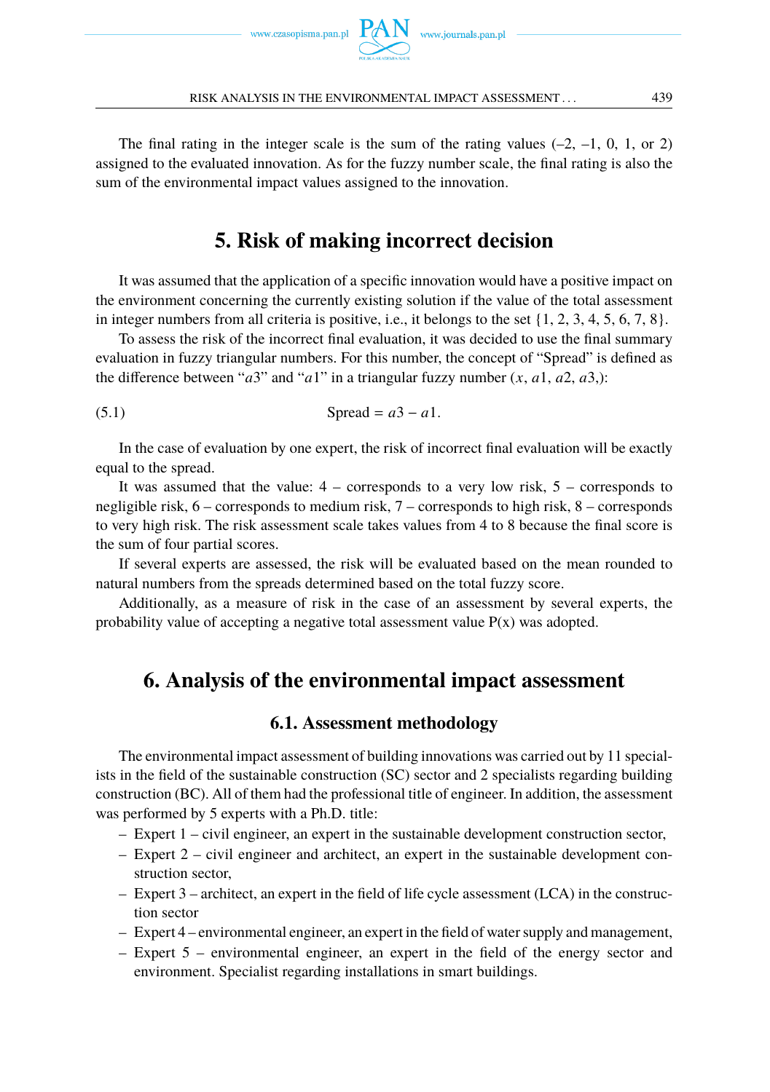



The final rating in the integer scale is the sum of the rating values  $(-2, -1, 0, 1, \text{or } 2)$ assigned to the evaluated innovation. As for the fuzzy number scale, the final rating is also the sum of the environmental impact values assigned to the innovation.

## **5. Risk of making incorrect decision**

It was assumed that the application of a specific innovation would have a positive impact on the environment concerning the currently existing solution if the value of the total assessment in integer numbers from all criteria is positive, i.e., it belongs to the set  $\{1, 2, 3, 4, 5, 6, 7, 8\}$ .

To assess the risk of the incorrect final evaluation, it was decided to use the final summary evaluation in fuzzy triangular numbers. For this number, the concept of "Spread" is defined as the difference between " $a3$ " and " $a1$ " in a triangular fuzzy number  $(x, a1, a2, a3)$ :

$$
Speed = a3 - a1.
$$

In the case of evaluation by one expert, the risk of incorrect final evaluation will be exactly equal to the spread.

It was assumed that the value:  $4 -$  corresponds to a very low risk,  $5 -$  corresponds to negligible risk, 6 – corresponds to medium risk, 7 – corresponds to high risk, 8 – corresponds to very high risk. The risk assessment scale takes values from 4 to 8 because the final score is the sum of four partial scores.

If several experts are assessed, the risk will be evaluated based on the mean rounded to natural numbers from the spreads determined based on the total fuzzy score.

Additionally, as a measure of risk in the case of an assessment by several experts, the probability value of accepting a negative total assessment value  $P(x)$  was adopted.

## **6. Analysis of the environmental impact assessment**

#### **6.1. Assessment methodology**

The environmental impact assessment of building innovations was carried out by 11 specialists in the field of the sustainable construction (SC) sector and 2 specialists regarding building construction (BC). All of them had the professional title of engineer. In addition, the assessment was performed by 5 experts with a Ph.D. title:

- Expert 1 civil engineer, an expert in the sustainable development construction sector,
- Expert 2 civil engineer and architect, an expert in the sustainable development construction sector,
- Expert 3 architect, an expert in the field of life cycle assessment (LCA) in the construction sector
- Expert 4 environmental engineer, an expert in the field of water supply and management,
- Expert 5 environmental engineer, an expert in the field of the energy sector and environment. Specialist regarding installations in smart buildings.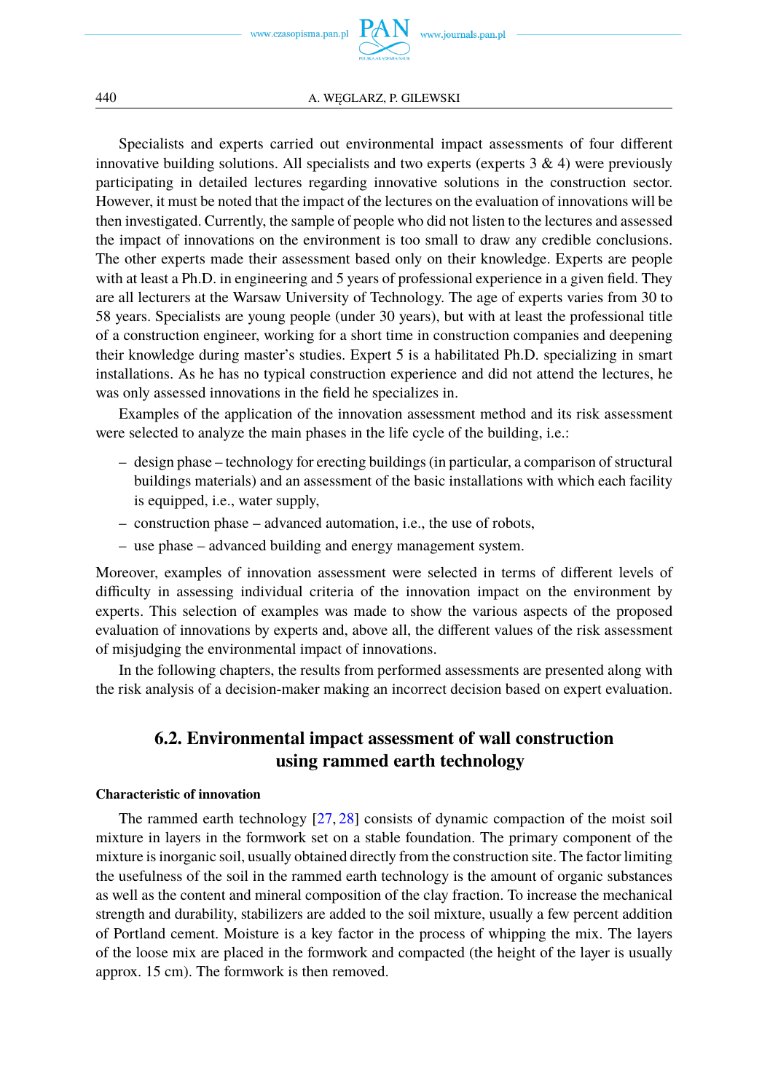www.czasopisma.pan.pl  $P_4$ 

Specialists and experts carried out environmental impact assessments of four different innovative building solutions. All specialists and two experts (experts  $3 \& 4$ ) were previously participating in detailed lectures regarding innovative solutions in the construction sector. However, it must be noted that the impact of the lectures on the evaluation of innovations will be then investigated. Currently, the sample of people who did not listen to the lectures and assessed the impact of innovations on the environment is too small to draw any credible conclusions. The other experts made their assessment based only on their knowledge. Experts are people with at least a Ph.D. in engineering and 5 years of professional experience in a given field. They are all lecturers at the Warsaw University of Technology. The age of experts varies from 30 to 58 years. Specialists are young people (under 30 years), but with at least the professional title of a construction engineer, working for a short time in construction companies and deepening their knowledge during master's studies. Expert 5 is a habilitated Ph.D. specializing in smart installations. As he has no typical construction experience and did not attend the lectures, he was only assessed innovations in the field he specializes in.

Examples of the application of the innovation assessment method and its risk assessment were selected to analyze the main phases in the life cycle of the building, i.e.:

- design phase technology for erecting buildings (in particular, a comparison of structural buildings materials) and an assessment of the basic installations with which each facility is equipped, i.e., water supply,
- construction phase advanced automation, i.e., the use of robots,
- use phase advanced building and energy management system.

Moreover, examples of innovation assessment were selected in terms of different levels of difficulty in assessing individual criteria of the innovation impact on the environment by experts. This selection of examples was made to show the various aspects of the proposed evaluation of innovations by experts and, above all, the different values of the risk assessment of misjudging the environmental impact of innovations.

In the following chapters, the results from performed assessments are presented along with the risk analysis of a decision-maker making an incorrect decision based on expert evaluation.

### **6.2. Environmental impact assessment of wall construction using rammed earth technology**

#### **Characteristic of innovation**

The rammed earth technology [\[27,](#page-15-12) [28\]](#page-15-13) consists of dynamic compaction of the moist soil mixture in layers in the formwork set on a stable foundation. The primary component of the mixture is inorganic soil, usually obtained directly from the construction site. The factor limiting the usefulness of the soil in the rammed earth technology is the amount of organic substances as well as the content and mineral composition of the clay fraction. To increase the mechanical strength and durability, stabilizers are added to the soil mixture, usually a few percent addition of Portland cement. Moisture is a key factor in the process of whipping the mix. The layers of the loose mix are placed in the formwork and compacted (the height of the layer is usually approx. 15 cm). The formwork is then removed.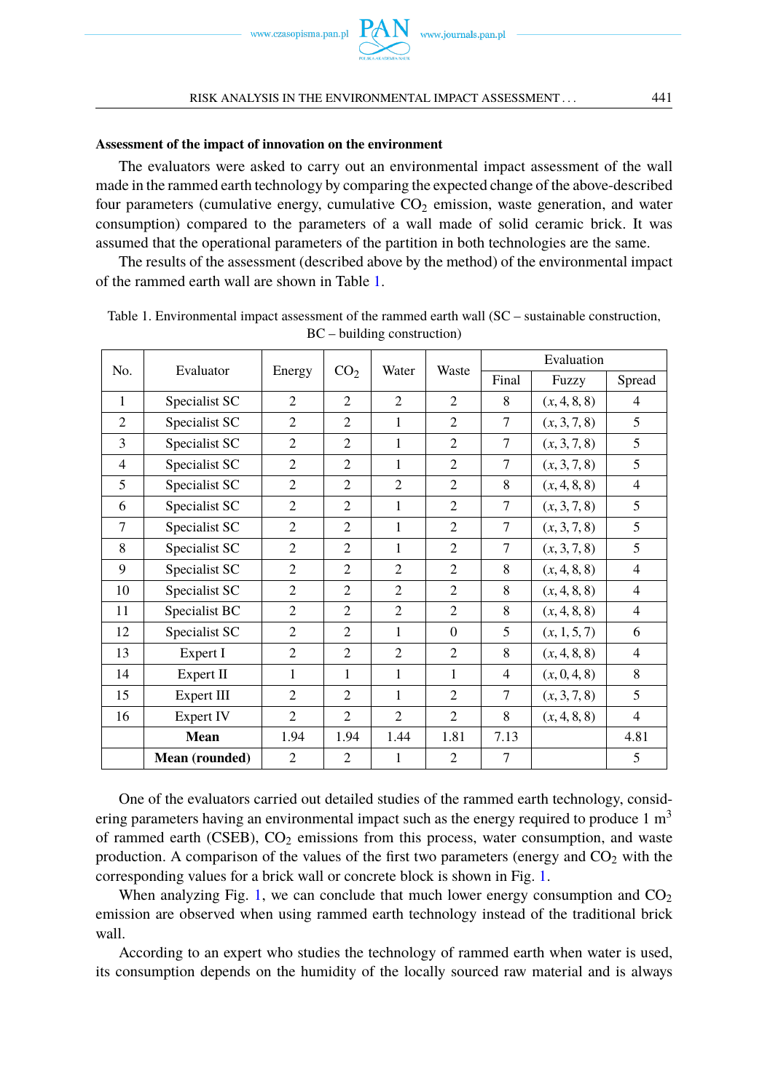

#### RISK ANALYSIS IN THE ENVIRONMENTAL IMPACT ASSESSMENT . . . 441

#### **Assessment of the impact of innovation on the environment**

The evaluators were asked to carry out an environmental impact assessment of the wall made in the rammed earth technology by comparing the expected change of the above-described four parameters (cumulative energy, cumulative  $CO<sub>2</sub>$  emission, waste generation, and water consumption) compared to the parameters of a wall made of solid ceramic brick. It was assumed that the operational parameters of the partition in both technologies are the same.

The results of the assessment (described above by the method) of the environmental impact of the rammed earth wall are shown in Table [1.](#page-8-0)

|                | Evaluator      | Energy         | CO <sub>2</sub> | Water                       | Waste          | Evaluation     |              |                |
|----------------|----------------|----------------|-----------------|-----------------------------|----------------|----------------|--------------|----------------|
| No.            |                |                |                 |                             |                | Final          | Fuzzy        | Spread         |
| $\mathbf{1}$   | Specialist SC  | 2              | 2               | $\overline{2}$              | 2              | 8              | (x, 4, 8, 8) | 4              |
| $\overline{2}$ | Specialist SC  | $\overline{2}$ | $\overline{c}$  | 1                           | 2              | 7              | (x, 3, 7, 8) | 5              |
| 3              | Specialist SC  | $\overline{c}$ | 2               | 1                           | 2              | 7              | (x, 3, 7, 8) | 5              |
| $\overline{4}$ | Specialist SC  | 2              | $\overline{c}$  | 1                           | 2              | 7              | (x, 3, 7, 8) | 5              |
| 5              | Specialist SC  | 2              | $\overline{c}$  | $\overline{2}$              | 2              | 8              | (x, 4, 8, 8) | $\overline{4}$ |
| 6              | Specialist SC  | $\overline{2}$ | $\overline{c}$  | 1                           | $\overline{2}$ | 7              | (x, 3, 7, 8) | 5              |
| $\tau$         | Specialist SC  | 2              | 2               | 1                           | 2              | 7              | (x, 3, 7, 8) | 5              |
| 8              | Specialist SC  | $\overline{c}$ | $\overline{c}$  | 1                           | $\overline{c}$ | 7              | (x, 3, 7, 8) | 5              |
| 9              | Specialist SC  | $\overline{2}$ | $\overline{c}$  | $\overline{2}$              | 2              | 8              | (x, 4, 8, 8) | $\overline{4}$ |
| 10             | Specialist SC  | $\overline{c}$ | $\overline{2}$  | $\overline{2}$              | $\overline{2}$ | 8              | (x, 4, 8, 8) | $\overline{4}$ |
| 11             | Specialist BC  | 2              | 2               | $\mathcal{D}_{\mathcal{L}}$ | 2              | 8              | (x, 4, 8, 8) | 4              |
| 12             | Specialist SC  | $\overline{c}$ | $\overline{c}$  | 1                           | $\Omega$       | 5              | (x, 1, 5, 7) | 6              |
| 13             | Expert I       | 2              | $\overline{c}$  | $\overline{2}$              | 2              | 8              | (x, 4, 8, 8) | $\overline{4}$ |
| 14             | Expert II      | 1              | $\mathbf{1}$    | 1                           | 1              | $\overline{4}$ | (x, 0, 4, 8) | 8              |
| 15             | Expert III     | 2              | $\overline{c}$  | 1                           | 2              | 7              | (x, 3, 7, 8) | 5              |
| 16             | Expert IV      | $\overline{2}$ | $\overline{2}$  | $\overline{2}$              | $\overline{2}$ | 8              | (x, 4, 8, 8) | $\overline{4}$ |
|                | Mean           | 1.94           | 1.94            | 1.44                        | 1.81           | 7.13           |              | 4.81           |
|                | Mean (rounded) | $\overline{2}$ | $\overline{2}$  | 1                           | $\overline{2}$ | $\overline{7}$ |              | 5              |

<span id="page-8-0"></span>Table 1. Environmental impact assessment of the rammed earth wall (SC – sustainable construction, BC – building construction)

One of the evaluators carried out detailed studies of the rammed earth technology, considering parameters having an environmental impact such as the energy required to produce  $1 \text{ m}^3$ of rammed earth (CSEB),  $CO<sub>2</sub>$  emissions from this process, water consumption, and waste production. A comparison of the values of the first two parameters (energy and  $CO<sub>2</sub>$  with the corresponding values for a brick wall or concrete block is shown in Fig. [1.](#page-9-0)

When analyzing Fig. [1,](#page-9-0) we can conclude that much lower energy consumption and  $CO<sub>2</sub>$ emission are observed when using rammed earth technology instead of the traditional brick wall.

According to an expert who studies the technology of rammed earth when water is used, its consumption depends on the humidity of the locally sourced raw material and is always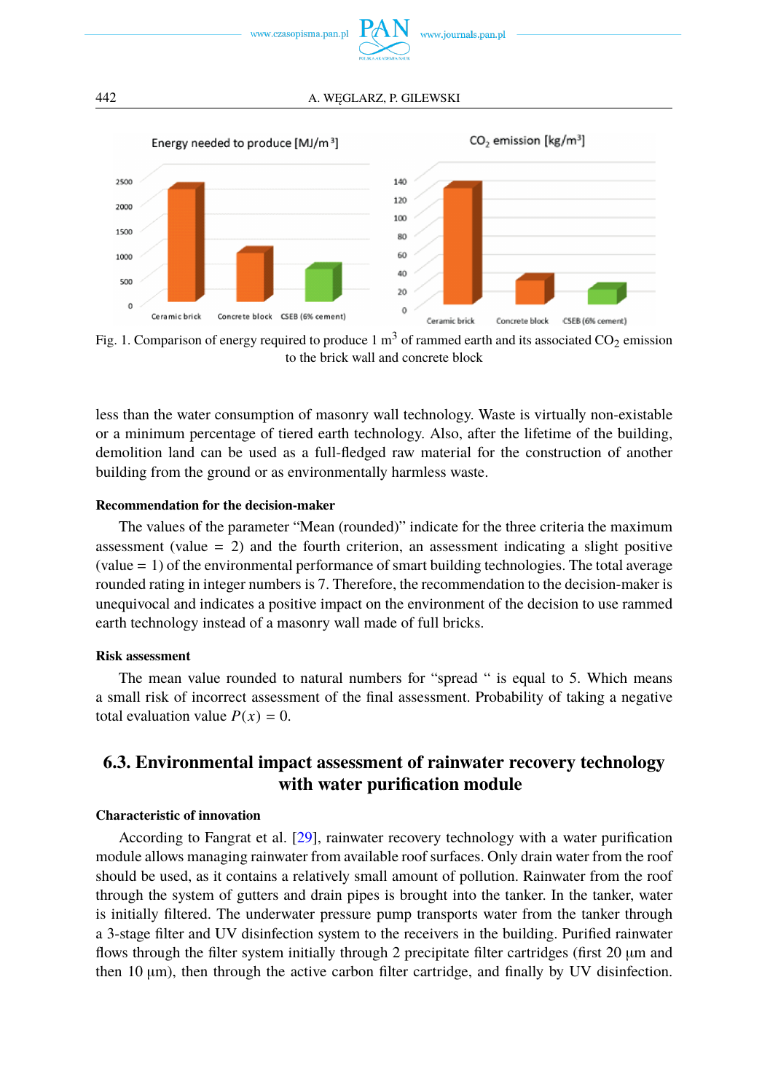

<span id="page-9-0"></span>

Fig. 1. Comparison of energy required to produce  $1 \text{ m}^3$  of rammed earth and its associated CO<sub>2</sub> emission to the brick wall and concrete block

less than the water consumption of masonry wall technology. Waste is virtually non-existable or a minimum percentage of tiered earth technology. Also, after the lifetime of the building, demolition land can be used as a full-fledged raw material for the construction of another building from the ground or as environmentally harmless waste.

#### **Recommendation for the decision-maker**

The values of the parameter "Mean (rounded)" indicate for the three criteria the maximum assessment (value  $= 2$ ) and the fourth criterion, an assessment indicating a slight positive (value = 1) of the environmental performance of smart building technologies. The total average rounded rating in integer numbers is 7. Therefore, the recommendation to the decision-maker is unequivocal and indicates a positive impact on the environment of the decision to use rammed earth technology instead of a masonry wall made of full bricks.

#### **Risk assessment**

The mean value rounded to natural numbers for "spread " is equal to 5. Which means a small risk of incorrect assessment of the final assessment. Probability of taking a negative total evaluation value  $P(x) = 0$ .

### **6.3. Environmental impact assessment of rainwater recovery technology with water purification module**

#### **Characteristic of innovation**

According to Fangrat et al. [\[29\]](#page-15-14), rainwater recovery technology with a water purification module allows managing rainwater from available roof surfaces. Only drain water from the roof should be used, as it contains a relatively small amount of pollution. Rainwater from the roof through the system of gutters and drain pipes is brought into the tanker. In the tanker, water is initially filtered. The underwater pressure pump transports water from the tanker through a 3-stage filter and UV disinfection system to the receivers in the building. Purified rainwater flows through the filter system initially through 2 precipitate filter cartridges (first 20 µm and then 10 µm), then through the active carbon filter cartridge, and finally by UV disinfection.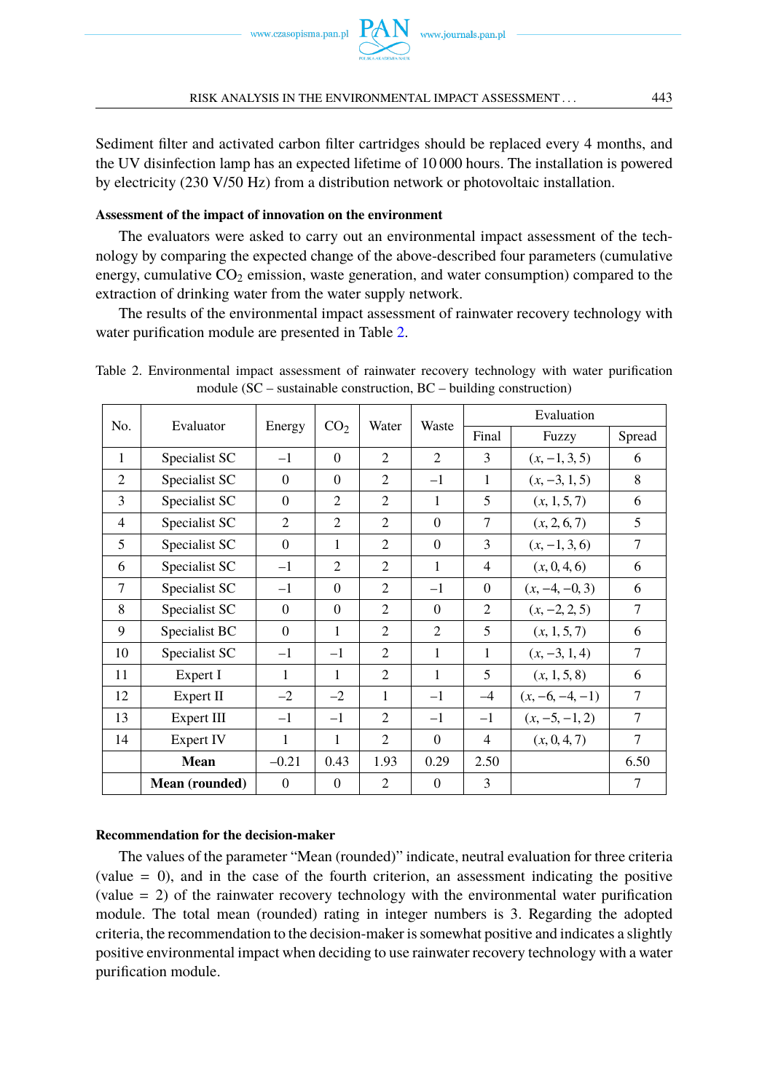

Sediment filter and activated carbon filter cartridges should be replaced every 4 months, and the UV disinfection lamp has an expected lifetime of 10 000 hours. The installation is powered by electricity (230 V/50 Hz) from a distribution network or photovoltaic installation.

#### **Assessment of the impact of innovation on the environment**

The evaluators were asked to carry out an environmental impact assessment of the technology by comparing the expected change of the above-described four parameters (cumulative energy, cumulative  $CO<sub>2</sub>$  emission, waste generation, and water consumption) compared to the extraction of drinking water from the water supply network.

The results of the environmental impact assessment of rainwater recovery technology with water purification module are presented in Table [2.](#page-10-0)

<span id="page-10-0"></span>Table 2. Environmental impact assessment of rainwater recovery technology with water purification module (SC – sustainable construction, BC – building construction)

| No.            | Evaluator      | Energy         | CO <sub>2</sub> | Water                       | Waste    | Evaluation               |                   |                |  |
|----------------|----------------|----------------|-----------------|-----------------------------|----------|--------------------------|-------------------|----------------|--|
|                |                |                |                 |                             |          | Final                    | Fuzzy             | Spread         |  |
| $\mathbf{1}$   | Specialist SC  | $-1$           | $\Omega$        | 2                           | 2        | 3                        | $(x, -1, 3, 5)$   | 6              |  |
| 2              | Specialist SC  | $\Omega$       | $\Omega$        | 2                           | $-1$     | 1                        | $(x, -3, 1, 5)$   | 8              |  |
| 3              | Specialist SC  | $\Omega$       | $\overline{c}$  | 2                           | 1        | $\overline{\phantom{0}}$ | (x, 1, 5, 7)      | 6              |  |
| $\overline{4}$ | Specialist SC  | $\overline{2}$ | $\overline{2}$  | $\overline{2}$              | $\Omega$ | 7                        | (x, 2, 6, 7)      | 5              |  |
| 5              | Specialist SC  | $\Omega$       | 1               | 2                           | $\Omega$ | 3                        | $(x, -1, 3, 6)$   | $\overline{7}$ |  |
| 6              | Specialist SC  | $-1$           | $\mathcal{L}$   | $\mathcal{L}$               | 1        | $\overline{4}$           | (x, 0, 4, 6)      | 6              |  |
| 7              | Specialist SC  | $-1$           | $\Omega$        | $\overline{c}$              | $-1$     | $\Omega$                 | $(x, -4, -0, 3)$  | 6              |  |
| 8              | Specialist SC  | $\theta$       | $\Omega$        | $\overline{c}$              | $\Omega$ | $\overline{2}$           | $(x, -2, 2, 5)$   | 7              |  |
| 9              | Specialist BC  | $\Omega$       | 1               | 2                           | 2        | 5                        | (x, 1, 5, 7)      | 6              |  |
| 10             | Specialist SC  | $-1$           | $-1$            | 2                           | 1        | 1                        | $(x, -3, 1, 4)$   | 7              |  |
| 11             | Expert I       | 1              | 1               | 2                           | 1        | $\overline{\phantom{0}}$ | (x, 1, 5, 8)      | 6              |  |
| 12             | Expert II      | $-2$           | $-2$            | $\mathbf{1}$                | $-1$     | $-4$                     | $(x, -6, -4, -1)$ | 7              |  |
| 13             | Expert III     | $-1$           | $-1$            | 2                           | $-1$     | $-1$                     | $(x, -5, -1, 2)$  | $\tau$         |  |
| 14             | Expert IV      | $\mathbf{1}$   | 1               | $\mathcal{D}_{\mathcal{L}}$ | $\Omega$ | $\overline{4}$           | (x, 0, 4, 7)      | $\tau$         |  |
|                | Mean           | $-0.21$        | 0.43            | 1.93                        | 0.29     | 2.50                     |                   | 6.50           |  |
|                | Mean (rounded) | $\Omega$       | $\Omega$        | $\overline{c}$              | $\theta$ | 3                        |                   | 7              |  |

#### **Recommendation for the decision-maker**

The values of the parameter "Mean (rounded)" indicate, neutral evaluation for three criteria (value  $= 0$ ), and in the case of the fourth criterion, an assessment indicating the positive (value = 2) of the rainwater recovery technology with the environmental water purification module. The total mean (rounded) rating in integer numbers is 3. Regarding the adopted criteria, the recommendation to the decision-maker is somewhat positive and indicates a slightly positive environmental impact when deciding to use rainwater recovery technology with a water purification module.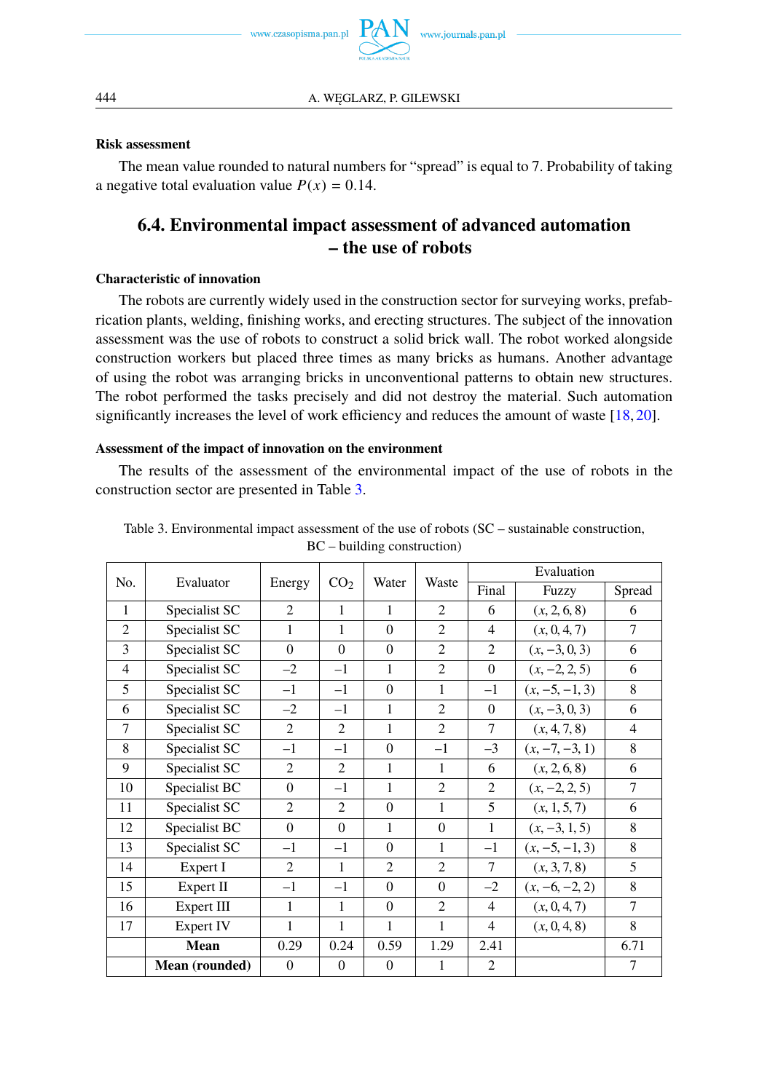

#### **Risk assessment**

The mean value rounded to natural numbers for "spread" is equal to 7. Probability of taking a negative total evaluation value  $P(x) = 0.14$ .

### **6.4. Environmental impact assessment of advanced automation – the use of robots**

#### **Characteristic of innovation**

The robots are currently widely used in the construction sector for surveying works, prefabrication plants, welding, finishing works, and erecting structures. The subject of the innovation assessment was the use of robots to construct a solid brick wall. The robot worked alongside construction workers but placed three times as many bricks as humans. Another advantage of using the robot was arranging bricks in unconventional patterns to obtain new structures. The robot performed the tasks precisely and did not destroy the material. Such automation significantly increases the level of work efficiency and reduces the amount of waste [\[18,](#page-15-4) [20\]](#page-15-5).

#### **Assessment of the impact of innovation on the environment**

The results of the assessment of the environmental impact of the use of robots in the construction sector are presented in Table [3.](#page-11-0)

|                |                |                             |                 | Water          | Waste          | Evaluation     |                  |                |
|----------------|----------------|-----------------------------|-----------------|----------------|----------------|----------------|------------------|----------------|
| No.            | Evaluator      | Energy                      | CO <sub>2</sub> |                |                | Final          | Fuzzy            | Spread         |
| $\mathbf{1}$   | Specialist SC  | $\mathcal{D}_{\mathcal{L}}$ | 1               | 1              | $\mathfrak{D}$ | 6              | (x, 2, 6, 8)     | 6              |
| 2              | Specialist SC  | $\mathbf{1}$                | 1               | $\Omega$       | $\mathfrak{D}$ | $\overline{4}$ | (x, 0, 4, 7)     | $\overline{7}$ |
| 3              | Specialist SC  | $\Omega$                    | $\Omega$        | $\Omega$       | $\overline{c}$ | 2              | $(x, -3, 0, 3)$  | 6              |
| $\overline{4}$ | Specialist SC  | $-2$                        | $-1$            | $\mathbf{1}$   | $\mathfrak{D}$ | $\theta$       | $(x, -2, 2, 5)$  | 6              |
| 5              | Specialist SC  | $-1$                        | $-1$            | $\Omega$       | 1              | $-1$           | $(x, -5, -1, 3)$ | 8              |
| 6              | Specialist SC  | $-2$                        | $-1$            | $\mathbf{1}$   | $\overline{2}$ | $\Omega$       | $(x, -3, 0, 3)$  | 6              |
| 7              | Specialist SC  | 2                           | 2               | 1              | $\overline{2}$ | $\tau$         | (x, 4, 7, 8)     | $\overline{4}$ |
| 8              | Specialist SC  | $-1$                        | $-1$            | $\Omega$       | $-1$           | $-3$           | $(x, -7, -3, 1)$ | 8              |
| 9              | Specialist SC  | $\overline{c}$              | $\overline{c}$  | 1              | 1              | 6              | (x, 2, 6, 8)     | 6              |
| 10             | Specialist BC  | $\Omega$                    | $-1$            | $\mathbf{1}$   | $\overline{2}$ | 2              | $(x, -2, 2, 5)$  | $\overline{7}$ |
| 11             | Specialist SC  | $\overline{c}$              | $\overline{c}$  | $\Omega$       | 1              | 5              | (x, 1, 5, 7)     | 6              |
| 12             | Specialist BC  | $\Omega$                    | $\Omega$        | $\mathbf{1}$   | $\Omega$       | $\mathbf{1}$   | $(x, -3, 1, 5)$  | 8              |
| 13             | Specialist SC  | $-1$                        | $-1$            | $\Omega$       | 1              | $-1$           | $(x, -5, -1, 3)$ | 8              |
| 14             | Expert I       | $\overline{c}$              | 1               | $\overline{c}$ | $\overline{2}$ | $\tau$         | (x, 3, 7, 8)     | 5              |
| 15             | Expert II      | $-1$                        | $-1$            | $\Omega$       | $\Omega$       | $-2$           | $(x, -6, -2, 2)$ | 8              |
| 16             | Expert III     | $\mathbf{1}$                | 1               | $\Omega$       | $\mathfrak{D}$ | $\overline{4}$ | (x, 0, 4, 7)     | $\overline{7}$ |
| 17             | Expert IV      | 1                           | 1               | 1              | 1              | $\overline{4}$ | (x, 0, 4, 8)     | 8              |
|                | Mean           | 0.29                        | 0.24            | 0.59           | 1.29           | 2.41           |                  | 6.71           |
|                | Mean (rounded) | $\overline{0}$              | $\theta$        | $\mathbf{0}$   | 1              | $\overline{2}$ |                  | $\tau$         |

<span id="page-11-0"></span>Table 3. Environmental impact assessment of the use of robots (SC – sustainable construction, BC – building construction)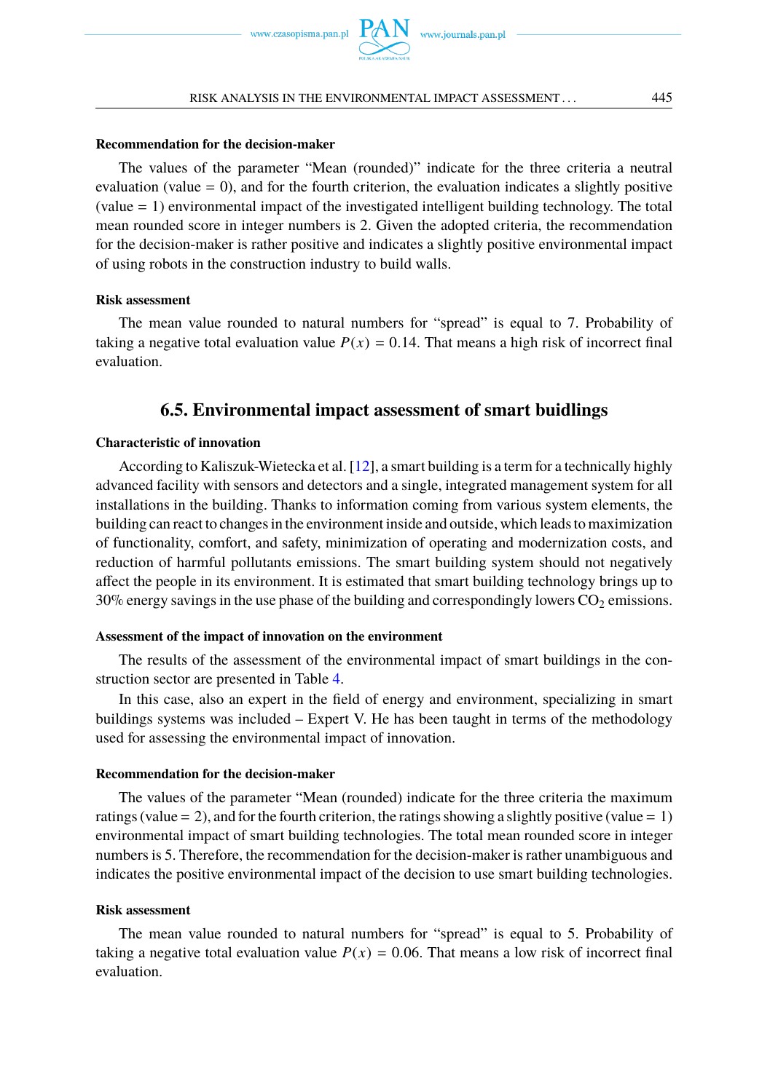

#### **Recommendation for the decision-maker**

The values of the parameter "Mean (rounded)" indicate for the three criteria a neutral evaluation (value  $= 0$ ), and for the fourth criterion, the evaluation indicates a slightly positive (value = 1) environmental impact of the investigated intelligent building technology. The total mean rounded score in integer numbers is 2. Given the adopted criteria, the recommendation for the decision-maker is rather positive and indicates a slightly positive environmental impact of using robots in the construction industry to build walls.

#### **Risk assessment**

The mean value rounded to natural numbers for "spread" is equal to 7. Probability of taking a negative total evaluation value  $P(x) = 0.14$ . That means a high risk of incorrect final evaluation.

#### **6.5. Environmental impact assessment of smart buidlings**

#### **Characteristic of innovation**

According to Kaliszuk-Wietecka et al. [\[12\]](#page-15-15), a smart building is a term for a technically highly advanced facility with sensors and detectors and a single, integrated management system for all installations in the building. Thanks to information coming from various system elements, the building can react to changes in the environment inside and outside, which leads to maximization of functionality, comfort, and safety, minimization of operating and modernization costs, and reduction of harmful pollutants emissions. The smart building system should not negatively affect the people in its environment. It is estimated that smart building technology brings up to  $30\%$  energy savings in the use phase of the building and correspondingly lowers  $CO<sub>2</sub>$  emissions.

#### **Assessment of the impact of innovation on the environment**

The results of the assessment of the environmental impact of smart buildings in the construction sector are presented in Table [4.](#page-13-0)

In this case, also an expert in the field of energy and environment, specializing in smart buildings systems was included – Expert V. He has been taught in terms of the methodology used for assessing the environmental impact of innovation.

#### **Recommendation for the decision-maker**

The values of the parameter "Mean (rounded) indicate for the three criteria the maximum ratings (value = 2), and for the fourth criterion, the ratings showing a slightly positive (value = 1) environmental impact of smart building technologies. The total mean rounded score in integer numbers is 5. Therefore, the recommendation for the decision-maker is rather unambiguous and indicates the positive environmental impact of the decision to use smart building technologies.

#### **Risk assessment**

The mean value rounded to natural numbers for "spread" is equal to 5. Probability of taking a negative total evaluation value  $P(x) = 0.06$ . That means a low risk of incorrect final evaluation.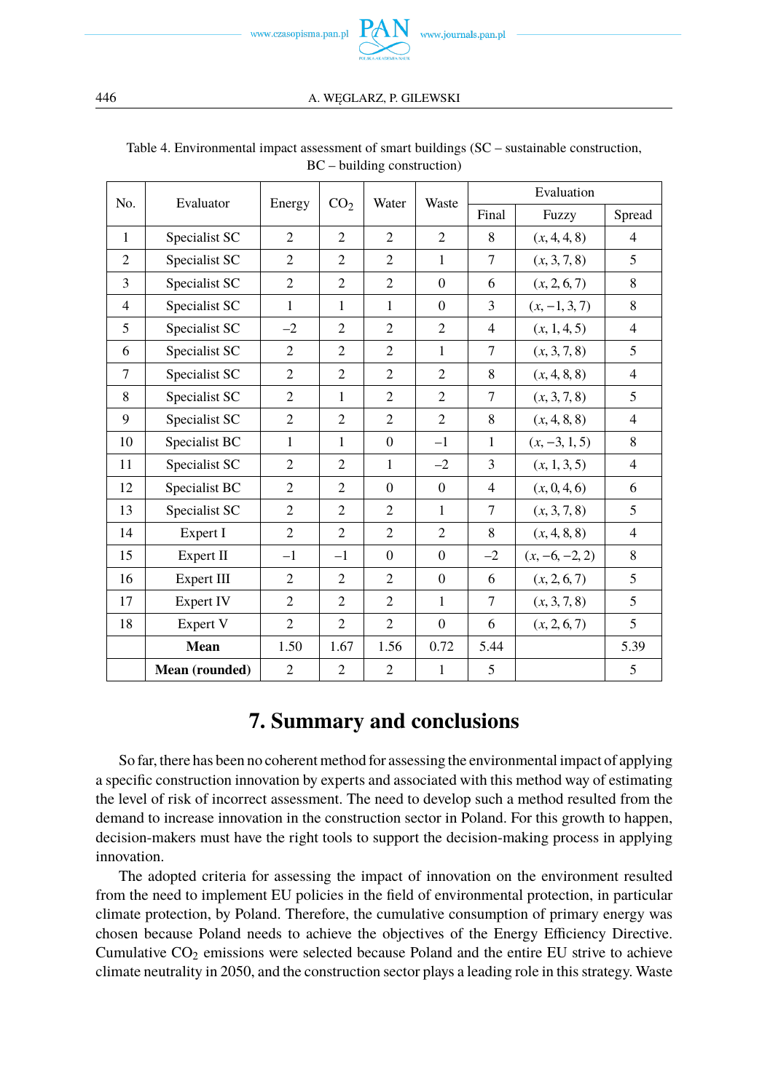

| No.            | Evaluator      | Energy         | CO <sub>2</sub> | Water          | Waste          | Evaluation     |                  |                |
|----------------|----------------|----------------|-----------------|----------------|----------------|----------------|------------------|----------------|
|                |                |                |                 |                |                | Final          | Fuzzy            | Spread         |
| $\mathbf{1}$   | Specialist SC  | 2              | 2               | $\overline{2}$ | 2              | 8              | (x, 4, 4, 8)     | $\overline{4}$ |
| $\overline{c}$ | Specialist SC  | $\overline{2}$ | $\overline{2}$  | $\overline{2}$ | $\mathbf{1}$   | $\tau$         | (x, 3, 7, 8)     | 5              |
| 3              | Specialist SC  | $\overline{c}$ | 2               | $\overline{2}$ | $\Omega$       | 6              | (x, 2, 6, 7)     | 8              |
| $\overline{4}$ | Specialist SC  | $\mathbf{1}$   | $\mathbf{1}$    | $\mathbf{1}$   | $\Omega$       | 3              | $(x, -1, 3, 7)$  | 8              |
| 5              | Specialist SC  | $-2$           | $\overline{2}$  | $\overline{2}$ | $\overline{2}$ | $\overline{4}$ | (x, 1, 4, 5)     | $\overline{4}$ |
| 6              | Specialist SC  | $\overline{2}$ | 2               | $\overline{2}$ | $\mathbf{1}$   | 7              | (x, 3, 7, 8)     | 5              |
| 7              | Specialist SC  | $\overline{c}$ | 2               | $\overline{2}$ | $\overline{2}$ | 8              | (x, 4, 8, 8)     | $\overline{4}$ |
| 8              | Specialist SC  | $\overline{c}$ | $\mathbf{1}$    | $\overline{2}$ | $\overline{2}$ | $\tau$         | (x, 3, 7, 8)     | 5              |
| 9              | Specialist SC  | $\overline{c}$ | $\overline{2}$  | $\overline{2}$ | 2              | 8              | (x, 4, 8, 8)     | $\overline{4}$ |
| 10             | Specialist BC  | $\mathbf{1}$   | $\mathbf{1}$    | $\Omega$       | $-1$           | $\mathbf{1}$   | $(x, -3, 1, 5)$  | 8              |
| 11             | Specialist SC  | $\overline{2}$ | 2               | $\mathbf{1}$   | $-2$           | 3              | (x, 1, 3, 5)     | $\overline{4}$ |
| 12             | Specialist BC  | $\overline{2}$ | $\overline{2}$  | $\Omega$       | $\Omega$       | $\overline{4}$ | (x, 0, 4, 6)     | 6              |
| 13             | Specialist SC  | $\overline{c}$ | 2               | $\overline{2}$ | $\mathbf{1}$   | $\tau$         | (x, 3, 7, 8)     | 5              |
| 14             | Expert I       | $\overline{2}$ | $\overline{2}$  | $\overline{2}$ | 2              | 8              | (x, 4, 8, 8)     | $\overline{4}$ |
| 15             | Expert II      | $-1$           | $-1$            | $\mathbf{0}$   | $\mathbf{0}$   | $-2$           | $(x, -6, -2, 2)$ | 8              |
| 16             | Expert III     | $\overline{c}$ | 2               | $\overline{2}$ | $\mathbf{0}$   | 6              | (x, 2, 6, 7)     | 5              |
| 17             | Expert IV      | $\overline{2}$ | $\overline{2}$  | $\overline{2}$ | $\mathbf{1}$   | 7              | (x, 3, 7, 8)     | 5              |
| 18             | Expert V       | $\overline{2}$ | $\overline{2}$  | $\overline{2}$ | $\Omega$       | 6              | (x, 2, 6, 7)     | 5              |
|                | Mean           | 1.50           | 1.67            | 1.56           | 0.72           | 5.44           |                  | 5.39           |
|                | Mean (rounded) | $\overline{2}$ | $\overline{2}$  | $\overline{c}$ | 1              | 5              |                  | 5              |

#### Table 4. Environmental impact assessment of smart buildings (SC – sustainable construction, BC – building construction)

# **7. Summary and conclusions**

So far, there has been no coherent method for assessing the environmental impact of applying a specific construction innovation by experts and associated with this method way of estimating the level of risk of incorrect assessment. The need to develop such a method resulted from the demand to increase innovation in the construction sector in Poland. For this growth to happen, decision-makers must have the right tools to support the decision-making process in applying innovation.

The adopted criteria for assessing the impact of innovation on the environment resulted from the need to implement EU policies in the field of environmental protection, in particular climate protection, by Poland. Therefore, the cumulative consumption of primary energy was chosen because Poland needs to achieve the objectives of the Energy Efficiency Directive. Cumulative  $CO<sub>2</sub>$  emissions were selected because Poland and the entire EU strive to achieve climate neutrality in 2050, and the construction sector plays a leading role in this strategy. Waste

<span id="page-13-0"></span>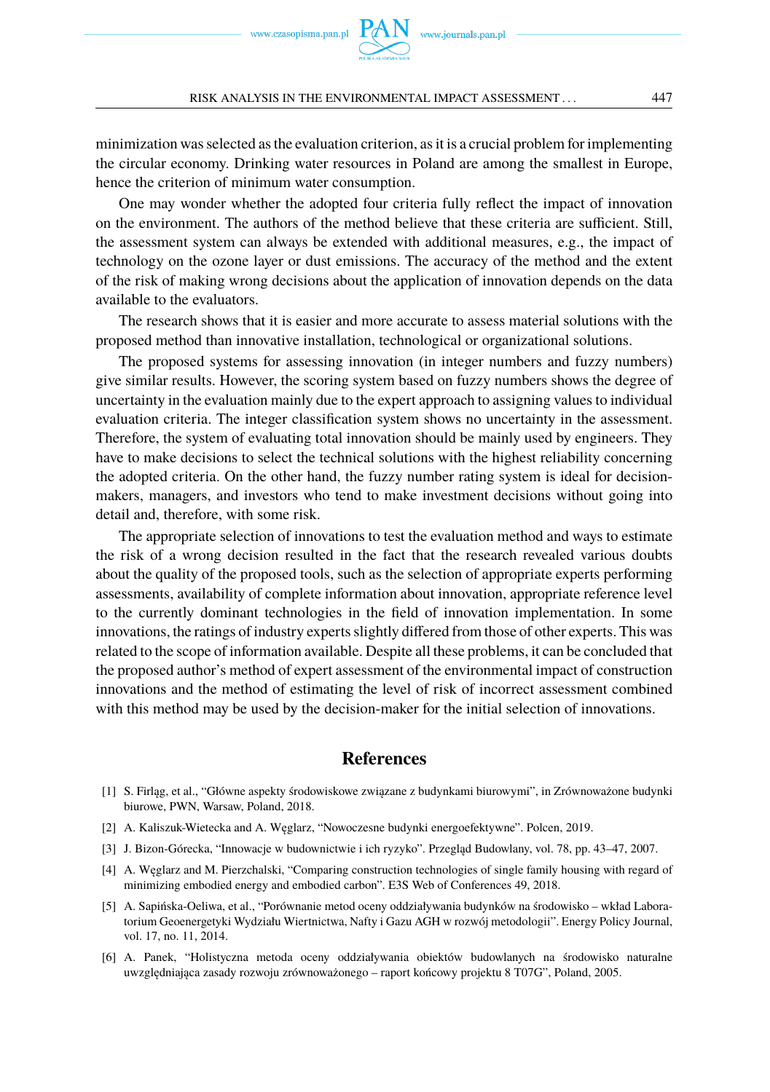#### RISK ANALYSIS IN THE ENVIRONMENTAL IMPACT ASSESSMENT . . . 447

minimization was selected as the evaluation criterion, as it is a crucial problem for implementing the circular economy. Drinking water resources in Poland are among the smallest in Europe, hence the criterion of minimum water consumption.

One may wonder whether the adopted four criteria fully reflect the impact of innovation on the environment. The authors of the method believe that these criteria are sufficient. Still, the assessment system can always be extended with additional measures, e.g., the impact of technology on the ozone layer or dust emissions. The accuracy of the method and the extent of the risk of making wrong decisions about the application of innovation depends on the data available to the evaluators.

The research shows that it is easier and more accurate to assess material solutions with the proposed method than innovative installation, technological or organizational solutions.

The proposed systems for assessing innovation (in integer numbers and fuzzy numbers) give similar results. However, the scoring system based on fuzzy numbers shows the degree of uncertainty in the evaluation mainly due to the expert approach to assigning values to individual evaluation criteria. The integer classification system shows no uncertainty in the assessment. Therefore, the system of evaluating total innovation should be mainly used by engineers. They have to make decisions to select the technical solutions with the highest reliability concerning the adopted criteria. On the other hand, the fuzzy number rating system is ideal for decisionmakers, managers, and investors who tend to make investment decisions without going into detail and, therefore, with some risk.

The appropriate selection of innovations to test the evaluation method and ways to estimate the risk of a wrong decision resulted in the fact that the research revealed various doubts about the quality of the proposed tools, such as the selection of appropriate experts performing assessments, availability of complete information about innovation, appropriate reference level to the currently dominant technologies in the field of innovation implementation. In some innovations, the ratings of industry experts slightly differed from those of other experts. This was related to the scope of information available. Despite all these problems, it can be concluded that the proposed author's method of expert assessment of the environmental impact of construction innovations and the method of estimating the level of risk of incorrect assessment combined with this method may be used by the decision-maker for the initial selection of innovations.

#### **References**

- <span id="page-14-0"></span>[1] S. Firlag, et al., "Główne aspekty środowiskowe związane z budynkami biurowymi", in Zrównoważone budynki biurowe, PWN, Warsaw, Poland, 2018.
- <span id="page-14-1"></span>[2] A. Kaliszuk-Wietecka and A. Węglarz, "Nowoczesne budynki energoefektywne". Polcen, 2019.
- <span id="page-14-2"></span>[3] J. Bizon-Górecka, "Innowacje w budownictwie i ich ryzyko". Przegląd Budowlany, vol. 78, pp. 43–47, 2007.
- <span id="page-14-3"></span>[4] A. Weglarz and M. Pierzchalski, "Comparing construction technologies of single family housing with regard of minimizing embodied energy and embodied carbon". E3S Web of Conferences 49, 2018.
- <span id="page-14-4"></span>[5] A. Sapińska-Oeliwa, et al., "Porównanie metod oceny oddziaływania budynków na środowisko – wkład Laboratorium Geoenergetyki Wydziału Wiertnictwa, Nafty i Gazu AGH w rozwój metodologii". Energy Policy Journal, vol. 17, no. 11, 2014.
- <span id="page-14-5"></span>[6] A. Panek, "Holistyczna metoda oceny oddziaływania obiektów budowlanych na środowisko naturalne uwzględniająca zasady rozwoju zrównoważonego – raport końcowy projektu 8 T07G", Poland, 2005.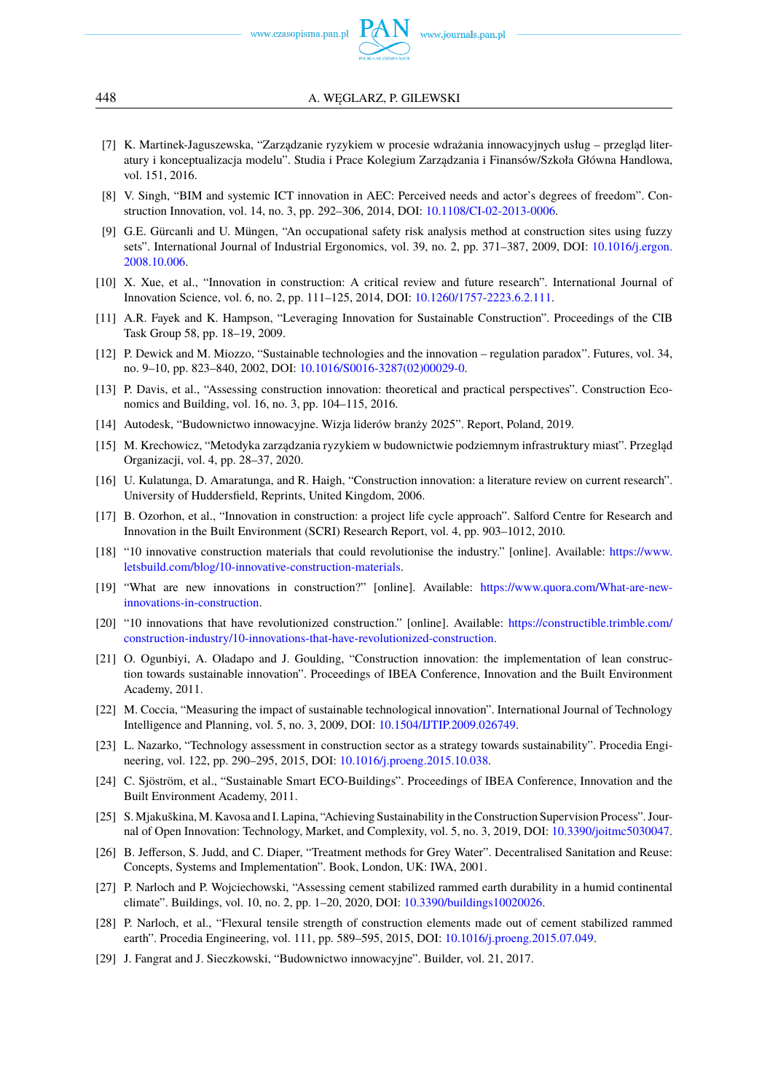www.czasopisma.pan.pl

- [7] K. Martinek-Jaguszewska, "Zarządzanie ryzykiem w procesie wdrażania innowacyjnych usług przegląd literatury i konceptualizacja modelu". Studia i Prace Kolegium Zarządzania i Finansów/Szkoła Główna Handlowa, vol. 151, 2016.
- [8] V. Singh, "BIM and systemic ICT innovation in AEC: Perceived needs and actor's degrees of freedom". Construction Innovation, vol. 14, no. 3, pp. 292–306, 2014, DOI: [10.1108/CI-02-2013-0006.](https://doi.org/10.1108/CI-02-2013-0006)
- <span id="page-15-0"></span>[9] G.E. Gürcanli and U. Müngen, "An occupational safety risk analysis method at construction sites using fuzzy sets". International Journal of Industrial Ergonomics, vol. 39, no. 2, pp. 371–387, 2009, DOI: [10.1016/j.ergon.](https://doi.org/10.1016/j.ergon.2008.10.006) [2008.10.006.](https://doi.org/10.1016/j.ergon.2008.10.006)
- [10] X. Xue, et al., "Innovation in construction: A critical review and future research". International Journal of Innovation Science, vol. 6, no. 2, pp. 111–125, 2014, DOI: [10.1260/1757-2223.6.2.111.](https://doi.org/10.1260/1757-2223.6.2.111)
- [11] A.R. Fayek and K. Hampson, "Leveraging Innovation for Sustainable Construction". Proceedings of the CIB Task Group 58, pp. 18–19, 2009.
- <span id="page-15-15"></span>[12] P. Dewick and M. Miozzo, "Sustainable technologies and the innovation – regulation paradox". Futures, vol. 34, no. 9–10, pp. 823–840, 2002, DOI: [10.1016/S0016-3287\(02\)00029-0.](https://doi.org/10.1016/S0016-3287(02)00029-0)
- [13] P. Davis, et al., "Assessing construction innovation: theoretical and practical perspectives". Construction Economics and Building, vol. 16, no. 3, pp. 104–115, 2016.
- [14] Autodesk, "Budownictwo innowacyjne. Wizja liderów branży 2025". Report, Poland, 2019.
- <span id="page-15-1"></span>[15] M. Krechowicz, "Metodyka zarządzania ryzykiem w budownictwie podziemnym infrastruktury miast". Przegląd Organizacji, vol. 4, pp. 28–37, 2020.
- <span id="page-15-2"></span>[16] U. Kulatunga, D. Amaratunga, and R. Haigh, "Construction innovation: a literature review on current research". University of Huddersfield, Reprints, United Kingdom, 2006.
- <span id="page-15-3"></span>[17] B. Ozorhon, et al., "Innovation in construction: a project life cycle approach". Salford Centre for Research and Innovation in the Built Environment (SCRI) Research Report, vol. 4, pp. 903–1012, 2010.
- <span id="page-15-4"></span>[18] "10 innovative construction materials that could revolutionise the industry." [online]. Available: [https://www.](https://www.letsbuild.com/blog/10-innovative-construction-materials) [letsbuild.com/blog/10-innovative-construction-materials.](https://www.letsbuild.com/blog/10-innovative-construction-materials)
- [19] "What are new innovations in construction?" [online]. Available: [https://www.quora.com/What-are-new](https://www.quora.com/What-are-new-innovations-in-construction)[innovations-in-construction.](https://www.quora.com/What-are-new-innovations-in-construction)
- <span id="page-15-5"></span>[20] "10 innovations that have revolutionized construction." [online]. Available: [https://constructible.trimble.com/](https://constructible.trimble.com/construction-industry/10-innovations-that-have-revolutionized-construction) [construction-industry/10-innovations-that-have-revolutionized-construction.](https://constructible.trimble.com/construction-industry/10-innovations-that-have-revolutionized-construction)
- <span id="page-15-6"></span>[21] O. Ogunbiyi, A. Oladapo and J. Goulding, "Construction innovation: the implementation of lean construction towards sustainable innovation". Proceedings of IBEA Conference, Innovation and the Built Environment Academy, 2011.
- <span id="page-15-7"></span>[22] M. Coccia, "Measuring the impact of sustainable technological innovation". International Journal of Technology Intelligence and Planning, vol. 5, no. 3, 2009, DOI: [10.1504/IJTIP.2009.026749.](https://doi.org/10.1504/IJTIP.2009.026749)
- <span id="page-15-8"></span>[23] L. Nazarko, "Technology assessment in construction sector as a strategy towards sustainability". Procedia Engineering, vol. 122, pp. 290–295, 2015, DOI: [10.1016/j.proeng.2015.10.038.](https://doi.org/10.1016/j.proeng.2015.10.038)
- <span id="page-15-9"></span>[24] C. Sjöström, et al., "Sustainable Smart ECO-Buildings". Proceedings of IBEA Conference, Innovation and the Built Environment Academy, 2011.
- <span id="page-15-10"></span>[25] S. Mjakuškina, M. Kavosa and I. Lapina, "Achieving Sustainability in the Construction Supervision Process". Journal of Open Innovation: Technology, Market, and Complexity, vol. 5, no. 3, 2019, DOI: [10.3390/joitmc5030047.](https://doi.org/10.3390/joitmc5030047)
- <span id="page-15-11"></span>[26] B. Jefferson, S. Judd, and C. Diaper, "Treatment methods for Grey Water". Decentralised Sanitation and Reuse: Concepts, Systems and Implementation". Book, London, UK: IWA, 2001.
- <span id="page-15-12"></span>[27] P. Narloch and P. Wojciechowski, "Assessing cement stabilized rammed earth durability in a humid continental climate". Buildings, vol. 10, no. 2, pp. 1–20, 2020, DOI: [10.3390/buildings10020026.](https://doi.org/10.3390/buildings10020026)
- <span id="page-15-13"></span>[28] P. Narloch, et al., "Flexural tensile strength of construction elements made out of cement stabilized rammed earth". Procedia Engineering, vol. 111, pp. 589–595, 2015, DOI: [10.1016/j.proeng.2015.07.049.](https://doi.org/10.1016/j.proeng.2015.07.049)
- <span id="page-15-14"></span>[29] J. Fangrat and J. Sieczkowski, "Budownictwo innowacyjne". Builder, vol. 21, 2017.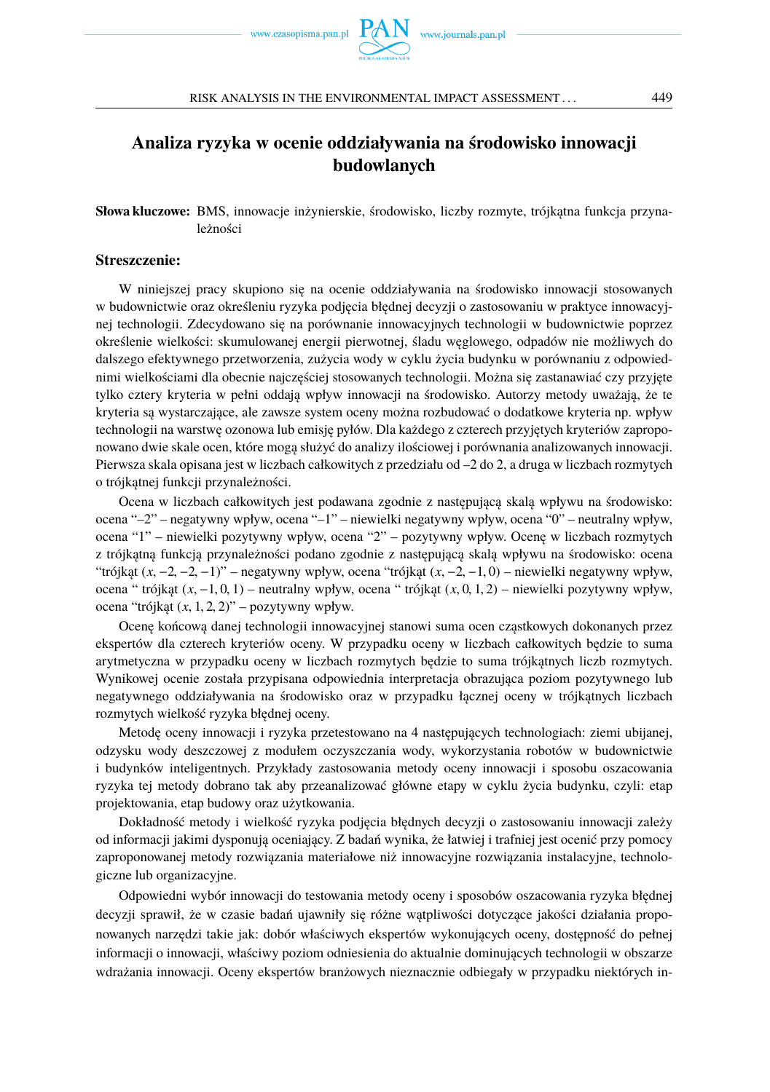

## <span id="page-16-0"></span>**Analiza ryzyka w ocenie oddziaływania na środowisko innowacji budowlanych**

Słowa kluczowe: BMS, innowacje inżynierskie, środowisko, liczby rozmyte, trójkątna funkcja przynależności

#### **Streszczenie:**

W niniejszej pracy skupiono się na ocenie oddziaływania na środowisko innowacji stosowanych w budownictwie oraz określeniu ryzyka podjecia błednej decyzji o zastosowaniu w praktyce innowacyjnej technologii. Zdecydowano się na porównanie innowacyjnych technologii w budownictwie poprzez określenie wielkości: skumulowanej energii pierwotnej, śladu w ˛eglowego, odpadów nie możliwych do dalszego efektywnego przetworzenia, zużycia wody w cyklu życia budynku w porównaniu z odpowiednimi wielkościami dla obecnie najczęściej stosowanych technologii. Można się zastanawiać czy przyjęte tylko cztery kryteria w pełni oddają wpływ innowacji na środowisko. Autorzy metody uważają, że te kryteria są wystarczające, ale zawsze system oceny można rozbudować o dodatkowe kryteria np. wpływ technologii na warstwę ozonowa lub emisję pyłów. Dla każdego z czterech przyjętych kryteriów zaproponowano dwie skale ocen, które mogą służyć do analizy ilościowej i porównania analizowanych innowacji. Pierwsza skala opisana jest w liczbach całkowitych z przedziału od –2 do 2, a druga w liczbach rozmytych o trójkatnej funkcji przynależności.

Ocena w liczbach całkowitych jest podawana zgodnie z następującą skalą wpływu na środowisko: ocena "–2" – negatywny wpływ, ocena "–1" – niewielki negatywny wpływ, ocena "0" – neutralny wpływ, ocena "1" – niewielki pozytywny wpływ, ocena "2" – pozytywny wpływ. Ocenę w liczbach rozmytych z trójkatna funkcja przynależności podano zgodnie z następującą skalą wpływu na środowisko: ocena "trójkąt  $(x, -2, -2, -1)$ " – negatywny wpływ, ocena "trójkąt  $(x, -2, -1, 0)$  – niewielki negatywny wpływ, ocena " trójkat (*x*, −1, 0, 1) – neutralny wpływ, ocena " trójkat (*x*, 0, 1, 2) – niewielki pozytywny wpływ, ocena "trójk at  $(x, 1, 2, 2)$ " – pozytywny wpływ.

Ocenę końcową danej technologii innowacyjnej stanowi suma ocen cząstkowych dokonanych przez ekspertów dla czterech kryteriów oceny. W przypadku oceny w liczbach całkowitych będzie to suma arytmetyczna w przypadku oceny w liczbach rozmytych będzie to suma trójkątnych liczb rozmytych. Wynikowej ocenie została przypisana odpowiednia interpretacja obrazująca poziom pozytywnego lub negatywnego oddziaływania na środowisko oraz w przypadku łącznej oceny w trójkątnych liczbach rozmytych wielkość ryzyka błędnej oceny.

Metodę oceny innowacji i ryzyka przetestowano na 4 następujących technologiach: ziemi ubijanej, odzysku wody deszczowej z modułem oczyszczania wody, wykorzystania robotów w budownictwie i budynków inteligentnych. Przykłady zastosowania metody oceny innowacji i sposobu oszacowania ryzyka tej metody dobrano tak aby przeanalizować główne etapy w cyklu życia budynku, czyli: etap projektowania, etap budowy oraz użytkowania.

Dokładność metody i wielkość ryzyka podjecia błednych decyzji o zastosowaniu innowacji zależy od informacji jakimi dysponują oceniający. Z badań wynika, że łatwiej i trafniej jest ocenić przy pomocy zaproponowanej metody rozwiązania materiałowe niż innowacyjne rozwiązania instalacyjne, technologiczne lub organizacyjne.

Odpowiedni wybór innowacji do testowania metody oceny i sposobów oszacowania ryzyka błędnej decyzji sprawił, że w czasie badań ujawniły się różne watpliwości dotyczące jakości działania proponowanych narzędzi takie jak: dobór właściwych ekspertów wykonujących oceny, dostępność do pełnej informacji o innowacji, właściwy poziom odniesienia do aktualnie dominujących technologii w obszarze wdrażania innowacji. Oceny ekspertów branżowych nieznacznie odbiegały w przypadku niektórych in-